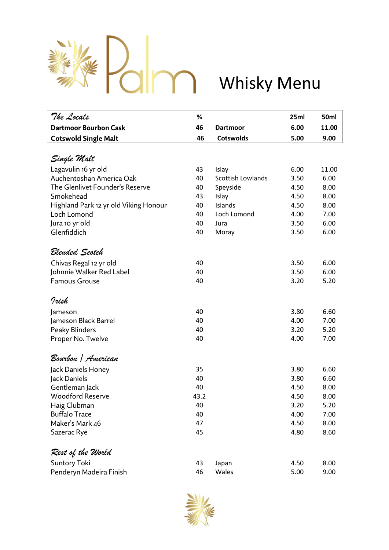

| %  |                                                                        | 25ml  | 50ml                                                                                                 |
|----|------------------------------------------------------------------------|-------|------------------------------------------------------------------------------------------------------|
| 46 | <b>Dartmoor</b>                                                        | 6.00  | 11.00                                                                                                |
| 46 | <b>Cotswolds</b>                                                       | 5.00  | 9.00                                                                                                 |
|    |                                                                        |       |                                                                                                      |
|    |                                                                        |       |                                                                                                      |
| 43 | Islay                                                                  | 6.00  | 11.00                                                                                                |
| 40 | <b>Scottish Lowlands</b>                                               | 3.50  | 6.00                                                                                                 |
| 40 | Speyside                                                               | 4.50  | 8.00                                                                                                 |
| 43 | Islay                                                                  | 4.50  | 8.00                                                                                                 |
| 40 | Islands                                                                | 4.50  | 8.00                                                                                                 |
| 40 | Loch Lomond                                                            | 4.00  | 7.00                                                                                                 |
| 40 | Jura                                                                   | 3.50  | 6.00                                                                                                 |
| 40 | Moray                                                                  | 3.50  | 6.00                                                                                                 |
|    |                                                                        |       |                                                                                                      |
|    |                                                                        |       |                                                                                                      |
|    |                                                                        |       | 6.00                                                                                                 |
|    |                                                                        |       | 6.00                                                                                                 |
|    |                                                                        |       | 5.20                                                                                                 |
|    |                                                                        |       |                                                                                                      |
| 40 |                                                                        |       | 6.60                                                                                                 |
| 40 |                                                                        | 4.00  | 7.00                                                                                                 |
| 40 |                                                                        | 3.20  | 5.20                                                                                                 |
| 40 |                                                                        | 4.00  | 7.00                                                                                                 |
|    |                                                                        |       |                                                                                                      |
|    |                                                                        |       |                                                                                                      |
|    |                                                                        |       | 6.60                                                                                                 |
|    |                                                                        |       | 6.60                                                                                                 |
|    |                                                                        |       | 8.00                                                                                                 |
|    |                                                                        |       | 8.00                                                                                                 |
|    |                                                                        |       | 5.20                                                                                                 |
|    |                                                                        |       | 7.00                                                                                                 |
|    |                                                                        |       | 8.00                                                                                                 |
|    |                                                                        |       | 8.60                                                                                                 |
|    |                                                                        |       |                                                                                                      |
|    |                                                                        |       | 8.00                                                                                                 |
| 46 | Wales                                                                  | 5.00  | 9.00                                                                                                 |
|    | 40<br>40<br>40<br>35<br>40<br>40<br>43.2<br>40<br>40<br>47<br>45<br>43 | Japan | 3.50<br>3.50<br>3.20<br>3.80<br>3.80<br>3.80<br>4.50<br>4.50<br>3.20<br>4.00<br>4.50<br>4.80<br>4.50 |